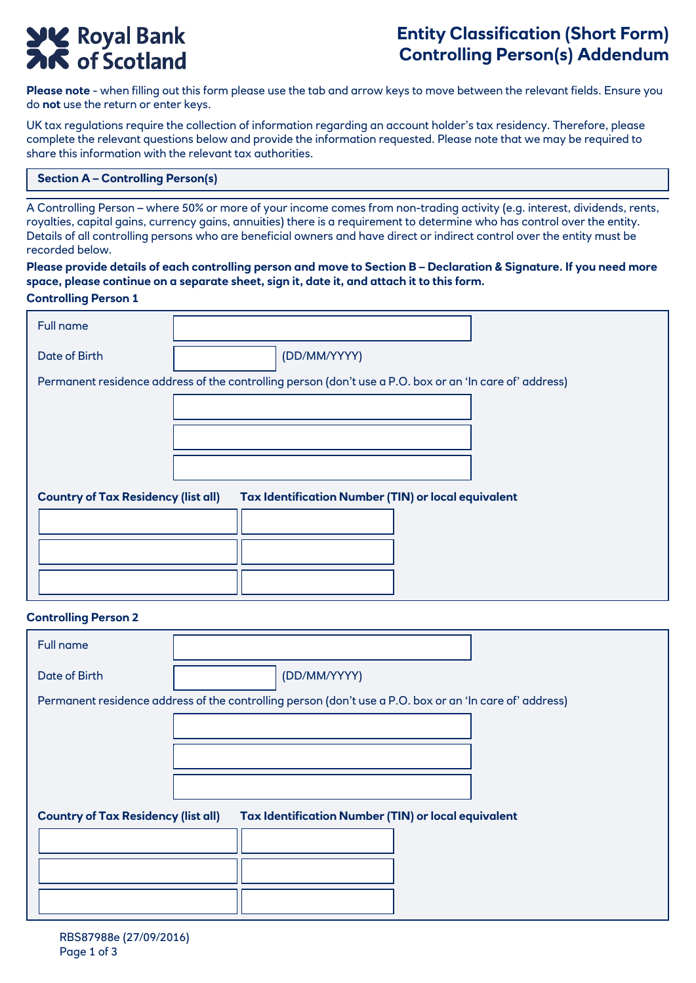# **SIME Royal Bank**<br> **AK** of Scotland

# **Entity Classification (Short Form) Controlling Person(s) Addendum**

**Please note** - when filling out this form please use the tab and arrow keys to move between the relevant fields. Ensure you do **not** use the return or enter keys.

UK tax regulations require the collection of information regarding an account holder's tax residency. Therefore, please complete the relevant questions below and provide the information requested. Please note that we may be required to share this information with the relevant tax authorities.

#### **Section A – Controlling Person(s)**

A Controlling Person – where 50% or more of your income comes from non-trading activity (e.g. interest, dividends, rents, royalties, capital gains, currency gains, annuities) there is a requirement to determine who has control over the entity. Details of all controlling persons who are beneficial owners and have direct or indirect control over the entity must be recorded below.

### **Please provide details of each controlling person and move to Section B – Declaration & Signature. If you need more space, please continue on a separate sheet, sign it, date it, and attach it to this form.**

#### **Controlling Person 1**

| Full name                                                                                               |              |  |
|---------------------------------------------------------------------------------------------------------|--------------|--|
| Date of Birth                                                                                           | (DD/MM/YYYY) |  |
| Permanent residence address of the controlling person (don't use a P.O. box or an 'In care of' address) |              |  |
|                                                                                                         |              |  |
|                                                                                                         |              |  |
|                                                                                                         |              |  |
| Tax Identification Number (TIN) or local equivalent<br><b>Country of Tax Residency (list all)</b>       |              |  |
|                                                                                                         |              |  |
|                                                                                                         |              |  |
|                                                                                                         |              |  |

#### **Controlling Person 2**

| Full name                                                                                               |              |  |
|---------------------------------------------------------------------------------------------------------|--------------|--|
| Date of Birth                                                                                           | (DD/MM/YYYY) |  |
| Permanent residence address of the controlling person (don't use a P.O. box or an 'In care of' address) |              |  |
|                                                                                                         |              |  |
|                                                                                                         |              |  |
|                                                                                                         |              |  |
| <b>Country of Tax Residency (list all)</b><br>Tax Identification Number (TIN) or local equivalent       |              |  |
|                                                                                                         |              |  |
|                                                                                                         |              |  |
|                                                                                                         |              |  |
|                                                                                                         |              |  |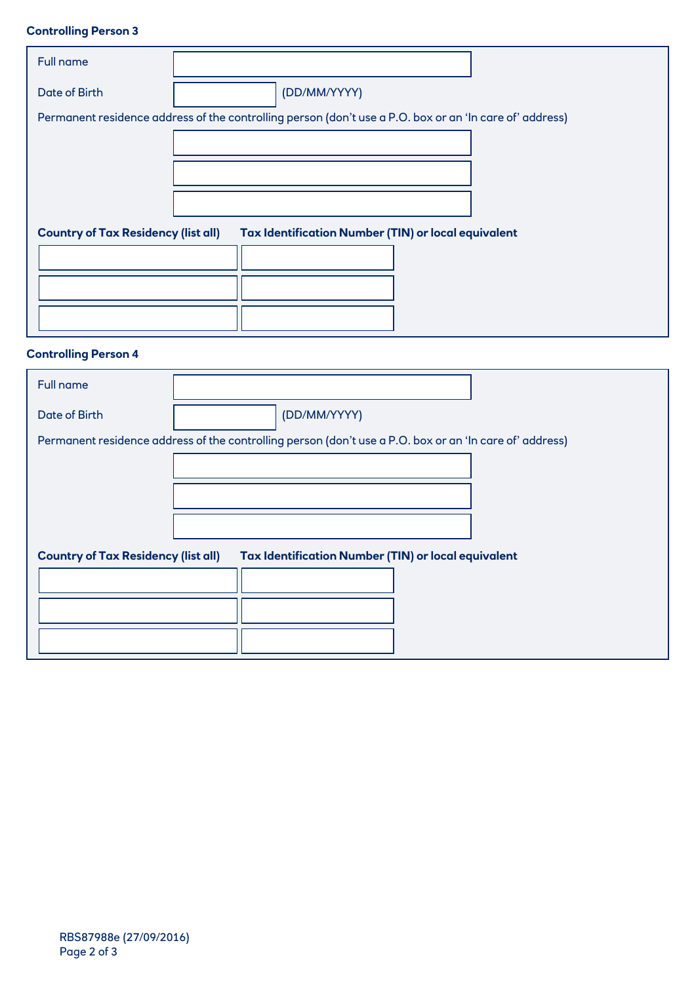## **Controlling Person 3**

| Full name                                                                                         |                                                                                                         |  |
|---------------------------------------------------------------------------------------------------|---------------------------------------------------------------------------------------------------------|--|
| <b>Date of Birth</b>                                                                              | (DD/MM/YYYY)                                                                                            |  |
|                                                                                                   | Permanent residence address of the controlling person (don't use a P.O. box or an 'In care of' address) |  |
|                                                                                                   |                                                                                                         |  |
|                                                                                                   |                                                                                                         |  |
|                                                                                                   |                                                                                                         |  |
|                                                                                                   |                                                                                                         |  |
| <b>Country of Tax Residency (list all)</b><br>Tax Identification Number (TIN) or local equivalent |                                                                                                         |  |
|                                                                                                   |                                                                                                         |  |
|                                                                                                   |                                                                                                         |  |
|                                                                                                   |                                                                                                         |  |
|                                                                                                   |                                                                                                         |  |

# **Controlling Person 4**

| Full name                                                                                               |              |  |  |
|---------------------------------------------------------------------------------------------------------|--------------|--|--|
| Date of Birth                                                                                           | (DD/MM/YYYY) |  |  |
| Permanent residence address of the controlling person (don't use a P.O. box or an 'In care of' address) |              |  |  |
|                                                                                                         |              |  |  |
|                                                                                                         |              |  |  |
|                                                                                                         |              |  |  |
| Tax Identification Number (TIN) or local equivalent<br><b>Country of Tax Residency (list all)</b>       |              |  |  |
|                                                                                                         |              |  |  |
|                                                                                                         |              |  |  |
|                                                                                                         |              |  |  |
|                                                                                                         |              |  |  |